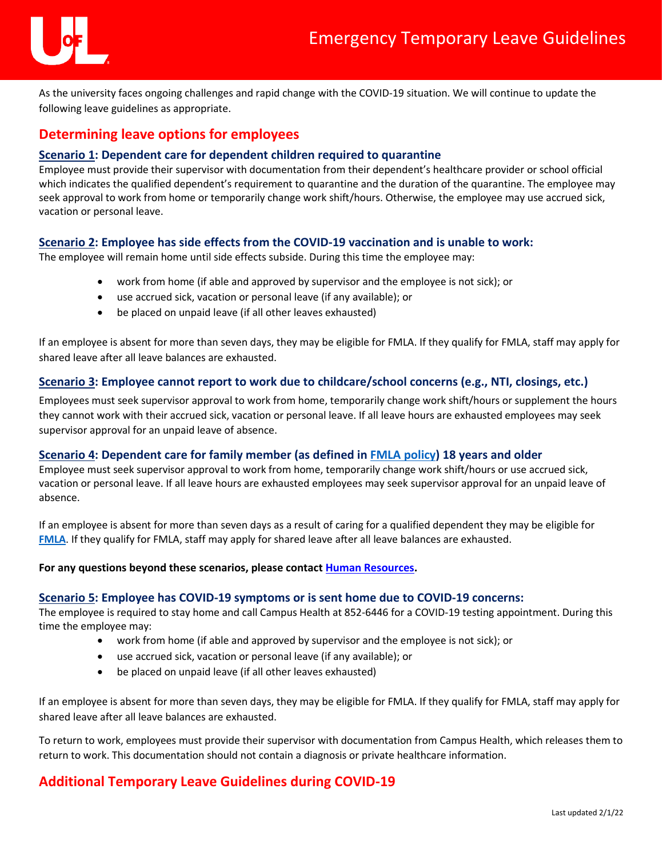

As the university faces ongoing challenges and rapid change with the COVID-19 situation. We will continue to update the following leave guidelines as appropriate.

# **Determining leave options for employees**

## **Scenario 1: Dependent care for dependent children required to quarantine**

Employee must provide their supervisor with documentation from their dependent's healthcare provider or school official which indicates the qualified dependent's requirement to quarantine and the duration of the quarantine. The employee may seek approval to work from home or temporarily change work shift/hours. Otherwise, the employee may use accrued sick, vacation or personal leave.

## **Scenario 2: Employee has side effects from the COVID-19 vaccination and is unable to work:**

The employee will remain home until side effects subside. During this time the employee may:

- work from home (if able and approved by supervisor and the employee is not sick); or
- use accrued sick, vacation or personal leave (if any available); or
- be placed on unpaid leave (if all other leaves exhausted)

If an employee is absent for more than seven days, they may be eligible for FMLA. If they qualify for FMLA, staff may apply for shared leave after all leave balances are exhausted.

## **Scenario 3: Employee cannot report to work due to childcare/school concerns (e.g., NTI, closings, etc.)**

Employees must seek supervisor approval to work from home, temporarily change work shift/hours or supplement the hours they cannot work with their accrued sick, vacation or personal leave. If all leave hours are exhausted employees may seek supervisor approval for an unpaid leave of absence.

## **Scenario 4: Dependent care for family member (as defined in [FMLA policy\)](https://louisville.edu/policies/policies-and-procedures/pageholder/pol-family-and-medical-leave) 18 years and older**

Employee must seek supervisor approval to work from home, temporarily change work shift/hours or use accrued sick, vacation or personal leave. If all leave hours are exhausted employees may seek supervisor approval for an unpaid leave of absence.

If an employee is absent for more than seven days as a result of caring for a qualified dependent they may be eligible for **[FMLA](https://louisville.edu/policies/policies-and-procedures/pageholder/pol-family-and-medical-leave)**. If they qualify for FMLA, staff may apply for shared leave after all leave balances are exhausted.

#### **For any questions beyond these scenarios, please contac[t Human Resources.](mailto:leaveadm@louisville.edu)**

#### **Scenario 5: Employee has COVID-19 symptoms or is sent home due to COVID-19 concerns:**

The employee is required to stay home and call Campus Health at 852-6446 for a COVID-19 testing appointment. During this time the employee may:

- work from home (if able and approved by supervisor and the employee is not sick); or
- use accrued sick, vacation or personal leave (if any available); or
- be placed on unpaid leave (if all other leaves exhausted)

If an employee is absent for more than seven days, they may be eligible for FMLA. If they qualify for FMLA, staff may apply for shared leave after all leave balances are exhausted.

To return to work, employees must provide their supervisor with documentation from Campus Health, which releases them to return to work. This documentation should not contain a diagnosis or private healthcare information.

## **Additional Temporary Leave Guidelines during COVID-19**